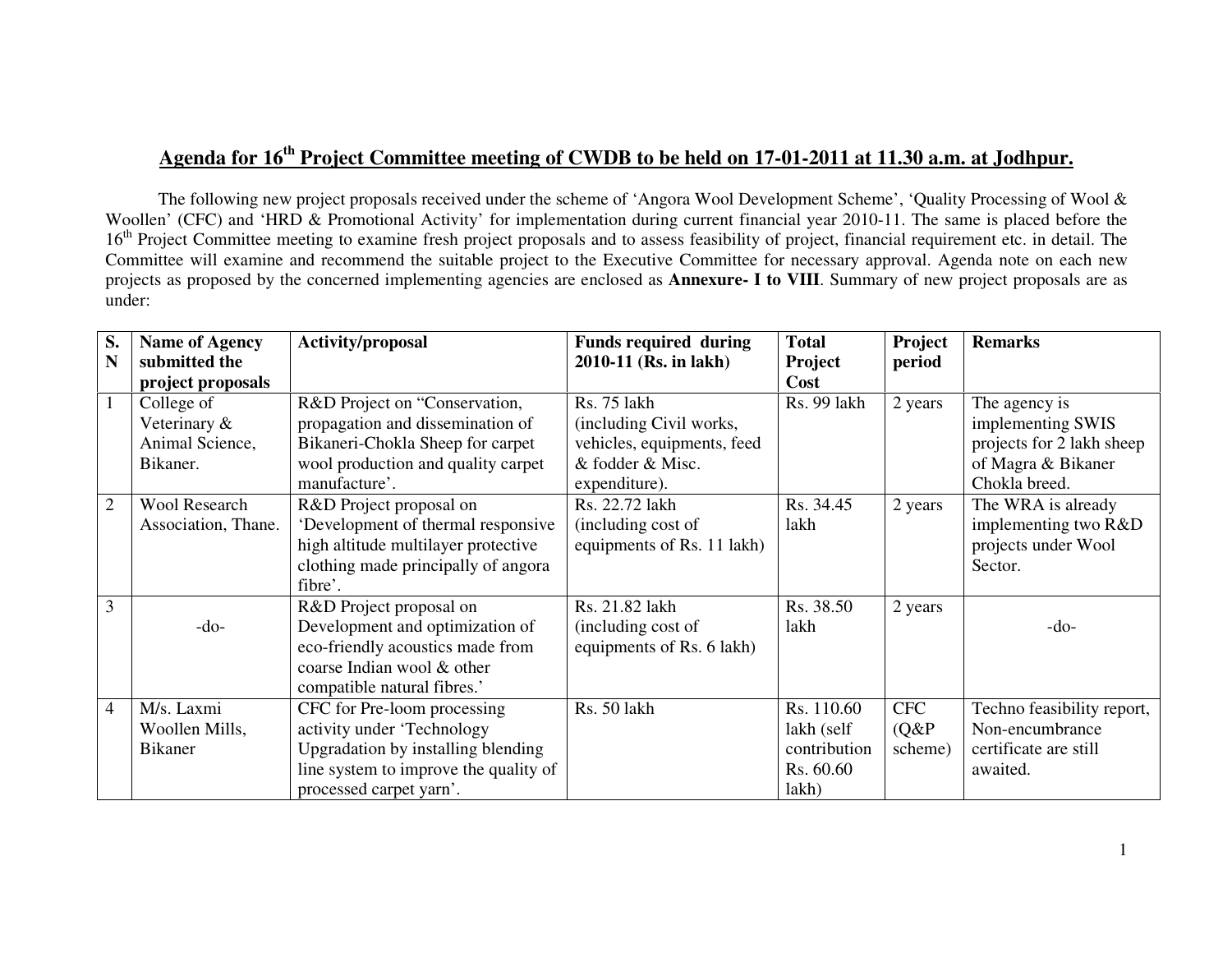# **Agenda for 16th Project Committee meeting of CWDB to be held on 17-01-2011 at 11.30 a.m. at Jodhpur.**

The following new project proposals received under the scheme of 'Angora Wool Development Scheme', 'Quality Processing of Wool & Woollen' (CFC) and 'HRD & Promotional Activity' for implementation during current financial year 2010-11. The same is placed before the 16<sup>th</sup> Project Committee meeting to examine fresh project proposals and to assess feasibility of project, financial requirement etc. in detail. The Committee will examine and recommend the suitable project to the Executive Committee for necessary approval. Agenda note on each new projects as proposed by the concerned implementing agencies are enclosed as **Annexure- I to VIII**. Summary of new project proposals are as under:

| S.             | <b>Name of Agency</b> | <b>Activity/proposal</b>              | <b>Funds required during</b> | <b>Total</b> | Project    | <b>Remarks</b>             |
|----------------|-----------------------|---------------------------------------|------------------------------|--------------|------------|----------------------------|
| N              | submitted the         |                                       | 2010-11 (Rs. in lakh)        | Project      | period     |                            |
|                | project proposals     |                                       |                              | Cost         |            |                            |
|                | College of            | R&D Project on "Conservation,         | <b>Rs. 75 lakh</b>           | Rs. 99 lakh  | 2 years    | The agency is              |
|                | Veterinary &          | propagation and dissemination of      | (including Civil works,      |              |            | implementing SWIS          |
|                | Animal Science,       | Bikaneri-Chokla Sheep for carpet      | vehicles, equipments, feed   |              |            | projects for 2 lakh sheep  |
|                | Bikaner.              | wool production and quality carpet    | & fodder & Misc.             |              |            | of Magra & Bikaner         |
|                |                       | manufacture'.                         | expenditure).                |              |            | Chokla breed.              |
| $\overline{2}$ | <b>Wool Research</b>  | R&D Project proposal on               | Rs. 22.72 lakh               | Rs. 34.45    | 2 years    | The WRA is already         |
|                | Association, Thane.   | 'Development of thermal responsive    | (including cost of           | lakh         |            | implementing two R&D       |
|                |                       | high altitude multilayer protective   | equipments of Rs. 11 lakh)   |              |            | projects under Wool        |
|                |                       | clothing made principally of angora   |                              |              |            | Sector.                    |
|                |                       | fibre'.                               |                              |              |            |                            |
| 3              |                       | R&D Project proposal on               | Rs. 21.82 lakh               | Rs. 38.50    | 2 years    |                            |
|                | $-do-$                | Development and optimization of       | (including cost of           | lakh         |            | $-do-$                     |
|                |                       | eco-friendly acoustics made from      | equipments of Rs. 6 lakh)    |              |            |                            |
|                |                       | coarse Indian wool & other            |                              |              |            |                            |
|                |                       | compatible natural fibres.'           |                              |              |            |                            |
| $\overline{4}$ | M/s. Laxmi            | CFC for Pre-loom processing           | Rs. 50 lakh                  | Rs. 110.60   | <b>CFC</b> | Techno feasibility report, |
|                | Woollen Mills,        | activity under 'Technology            |                              | lakh (self   | $(Q\&P)$   | Non-encumbrance            |
|                | <b>Bikaner</b>        | Upgradation by installing blending    |                              | contribution | scheme)    | certificate are still      |
|                |                       | line system to improve the quality of |                              | Rs. 60.60    |            | awaited.                   |
|                |                       | processed carpet yarn'.               |                              | lakh)        |            |                            |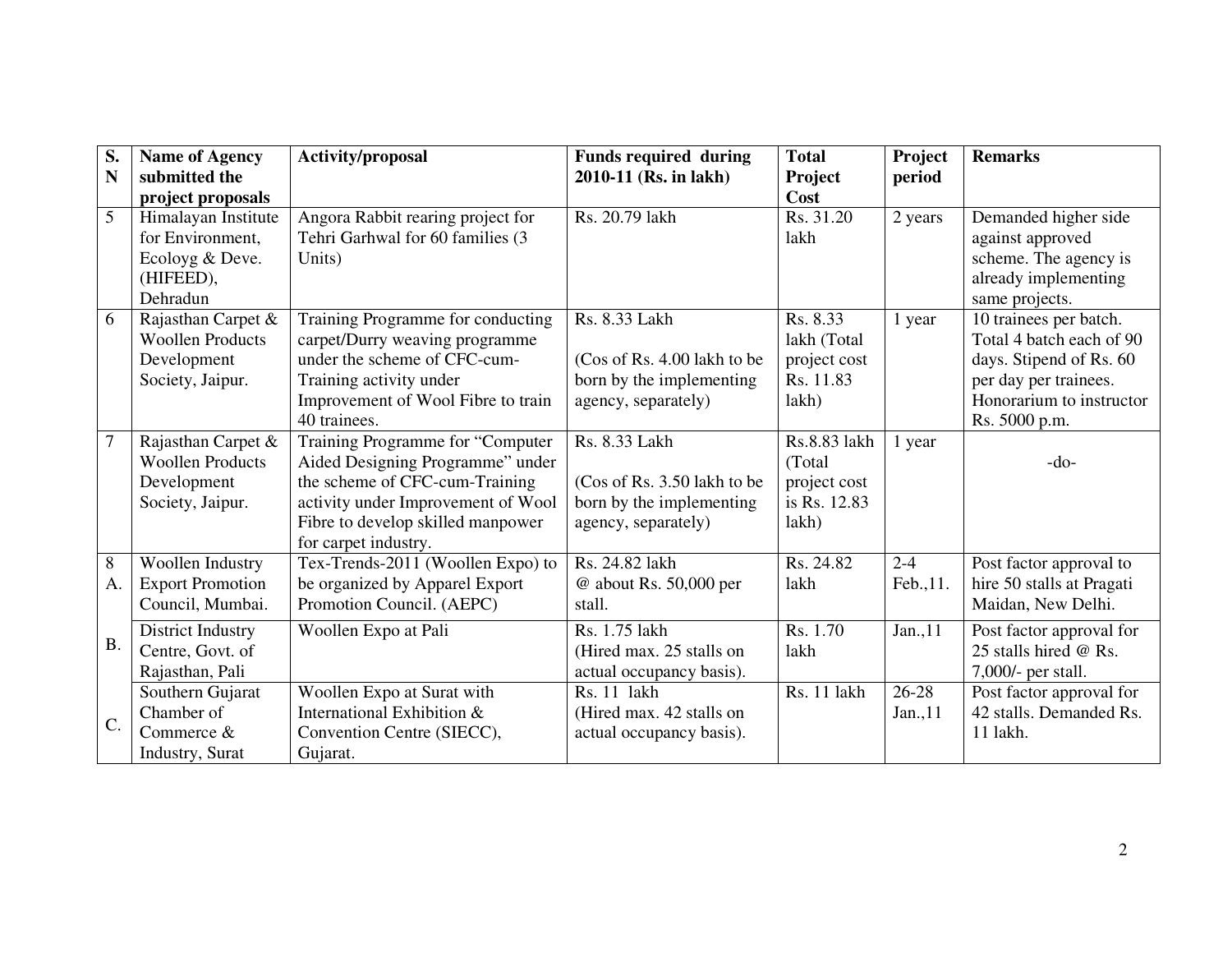| S.              | <b>Name of Agency</b>   | Activity/proposal                  | <b>Funds required during</b> | <b>Total</b> | Project   | <b>Remarks</b>            |
|-----------------|-------------------------|------------------------------------|------------------------------|--------------|-----------|---------------------------|
| N               | submitted the           |                                    | 2010-11 (Rs. in lakh)        | Project      | period    |                           |
|                 | project proposals       |                                    |                              | Cost         |           |                           |
| $\overline{5}$  | Himalayan Institute     | Angora Rabbit rearing project for  | Rs. 20.79 lakh               | Rs. 31.20    | 2 years   | Demanded higher side      |
|                 | for Environment,        | Tehri Garhwal for 60 families (3   |                              | lakh         |           | against approved          |
|                 | Ecoloyg & Deve.         | Units)                             |                              |              |           | scheme. The agency is     |
|                 | (HIFEED),               |                                    |                              |              |           | already implementing      |
|                 | Dehradun                |                                    |                              |              |           | same projects.            |
| 6               | Rajasthan Carpet &      | Training Programme for conducting  | Rs. 8.33 Lakh                | Rs. 8.33     | 1 year    | 10 trainees per batch.    |
|                 | <b>Woollen Products</b> | carpet/Durry weaving programme     |                              | lakh (Total  |           | Total 4 batch each of 90  |
|                 | Development             | under the scheme of CFC-cum-       | (Cos of Rs. 4.00 lakh to be  | project cost |           | days. Stipend of Rs. 60   |
|                 | Society, Jaipur.        | Training activity under            | born by the implementing     | Rs. 11.83    |           | per day per trainees.     |
|                 |                         | Improvement of Wool Fibre to train | agency, separately)          | lakh)        |           | Honorarium to instructor  |
|                 |                         | 40 trainees.                       |                              |              |           | Rs. 5000 p.m.             |
| $\overline{7}$  | Rajasthan Carpet &      | Training Programme for "Computer   | Rs. 8.33 Lakh                | Rs.8.83 lakh | 1 year    |                           |
|                 | <b>Woollen Products</b> | Aided Designing Programme" under   |                              | (Total)      |           | $-do-$                    |
|                 | Development             | the scheme of CFC-cum-Training     | (Cos of Rs. 3.50 lakh to be  | project cost |           |                           |
|                 | Society, Jaipur.        | activity under Improvement of Wool | born by the implementing     | is Rs. 12.83 |           |                           |
|                 |                         | Fibre to develop skilled manpower  | agency, separately)          | lakh)        |           |                           |
|                 |                         | for carpet industry.               |                              |              |           |                           |
| 8               | Woollen Industry        | Tex-Trends-2011 (Woollen Expo) to  | Rs. 24.82 lakh               | Rs. 24.82    | $2 - 4$   | Post factor approval to   |
| A.              | <b>Export Promotion</b> | be organized by Apparel Export     | @ about Rs. 50,000 per       | lakh         | Feb., 11. | hire 50 stalls at Pragati |
|                 | Council, Mumbai.        | Promotion Council. (AEPC)          | stall.                       |              |           | Maidan, New Delhi.        |
|                 | District Industry       | Woollen Expo at Pali               | Rs. 1.75 lakh                | Rs. 1.70     | Jan.,11   | Post factor approval for  |
| <b>B.</b>       | Centre, Govt. of        |                                    | (Hired max. 25 stalls on     | lakh         |           | 25 stalls hired @ Rs.     |
|                 | Rajasthan, Pali         |                                    | actual occupancy basis).     |              |           | 7,000/- per stall.        |
|                 | Southern Gujarat        | Woollen Expo at Surat with         | Rs. 11 lakh                  | Rs. 11 lakh  | 26-28     | Post factor approval for  |
|                 | Chamber of              | International Exhibition &         | (Hired max. 42 stalls on     |              | Jan., 11  | 42 stalls. Demanded Rs.   |
| $\mathcal{C}$ . | Commerce $&$            | Convention Centre (SIECC),         | actual occupancy basis).     |              |           | $11$ lakh.                |
|                 | Industry, Surat         | Gujarat.                           |                              |              |           |                           |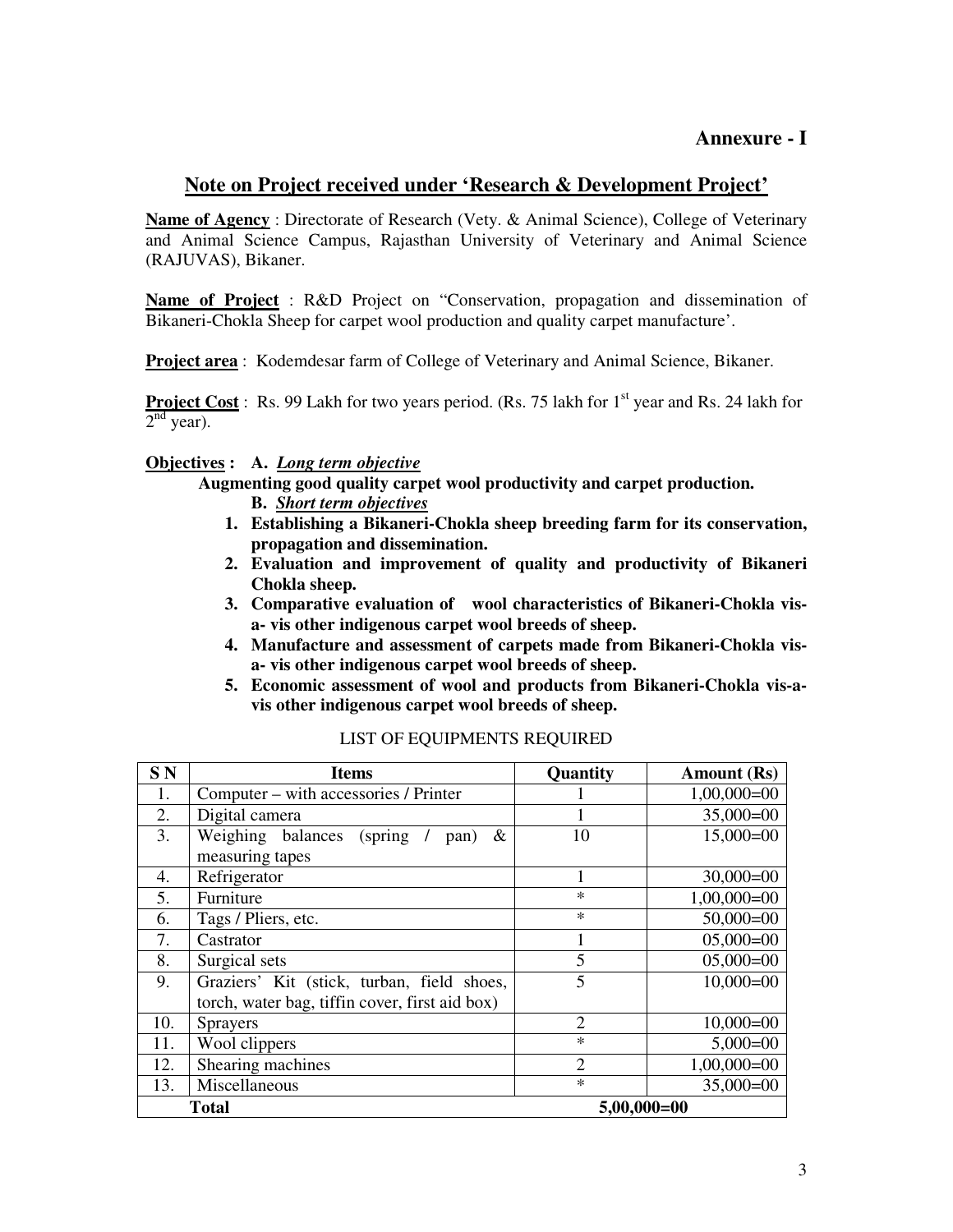## **Annexure - I**

# **Note on Project received under 'Research & Development Project'**

**Name of Agency** : Directorate of Research (Vety. & Animal Science), College of Veterinary and Animal Science Campus, Rajasthan University of Veterinary and Animal Science (RAJUVAS), Bikaner.

**Name of Project** : R&D Project on "Conservation, propagation and dissemination of Bikaneri-Chokla Sheep for carpet wool production and quality carpet manufacture'.

**Project area** : Kodemdesar farm of College of Veterinary and Animal Science, Bikaner.

**Project Cost** : Rs. 99 Lakh for two years period. (Rs. 75 lakh for 1<sup>st</sup> year and Rs. 24 lakh for  $2<sup>nd</sup>$  year).

## **Objectives : A.** *Long term objective*

**Augmenting good quality carpet wool productivity and carpet production. B.** *Short term objectives*

- **1. Establishing a Bikaneri-Chokla sheep breeding farm for its conservation, propagation and dissemination.**
- **2. Evaluation and improvement of quality and productivity of Bikaneri Chokla sheep.**
- **3. Comparative evaluation of wool characteristics of Bikaneri-Chokla visa- vis other indigenous carpet wool breeds of sheep.**
- **4. Manufacture and assessment of carpets made from Bikaneri-Chokla visa- vis other indigenous carpet wool breeds of sheep.**
- **5. Economic assessment of wool and products from Bikaneri-Chokla vis-avis other indigenous carpet wool breeds of sheep.**

| SN  | <b>Items</b>                                   | Quantity        | Amount (Rs)   |
|-----|------------------------------------------------|-----------------|---------------|
| 1.  | Computer – with accessories / Printer          |                 | $1,00,000=00$ |
| 2.  | Digital camera                                 |                 | $35,000=00$   |
| 3.  | Weighing balances<br>(spring)<br>&<br>pan)     | 10              | $15,000=00$   |
|     | measuring tapes                                |                 |               |
| 4.  | Refrigerator                                   |                 | $30,000=00$   |
| 5.  | Furniture                                      | $\ast$          | $1,00,000=00$ |
| 6.  | Tags / Pliers, etc.                            | $\ast$          | $50,000=00$   |
| 7.  | Castrator                                      |                 | $05,000=00$   |
| 8.  | Surgical sets                                  | 5               | $05,000=00$   |
| 9.  | Graziers' Kit (stick, turban, field shoes,     | 5               | $10,000=00$   |
|     | torch, water bag, tiffin cover, first aid box) |                 |               |
| 10. | <b>Sprayers</b>                                | $\overline{2}$  | $10,000=00$   |
| 11. | Wool clippers                                  | $\ast$          | $5,000=00$    |
| 12. | Shearing machines                              | 2               | $1,00,000=00$ |
| 13. | Miscellaneous                                  | $\ast$          | $35,000=00$   |
|     | Total                                          | $5,00,000 = 00$ |               |

#### LIST OF EQUIPMENTS REQUIRED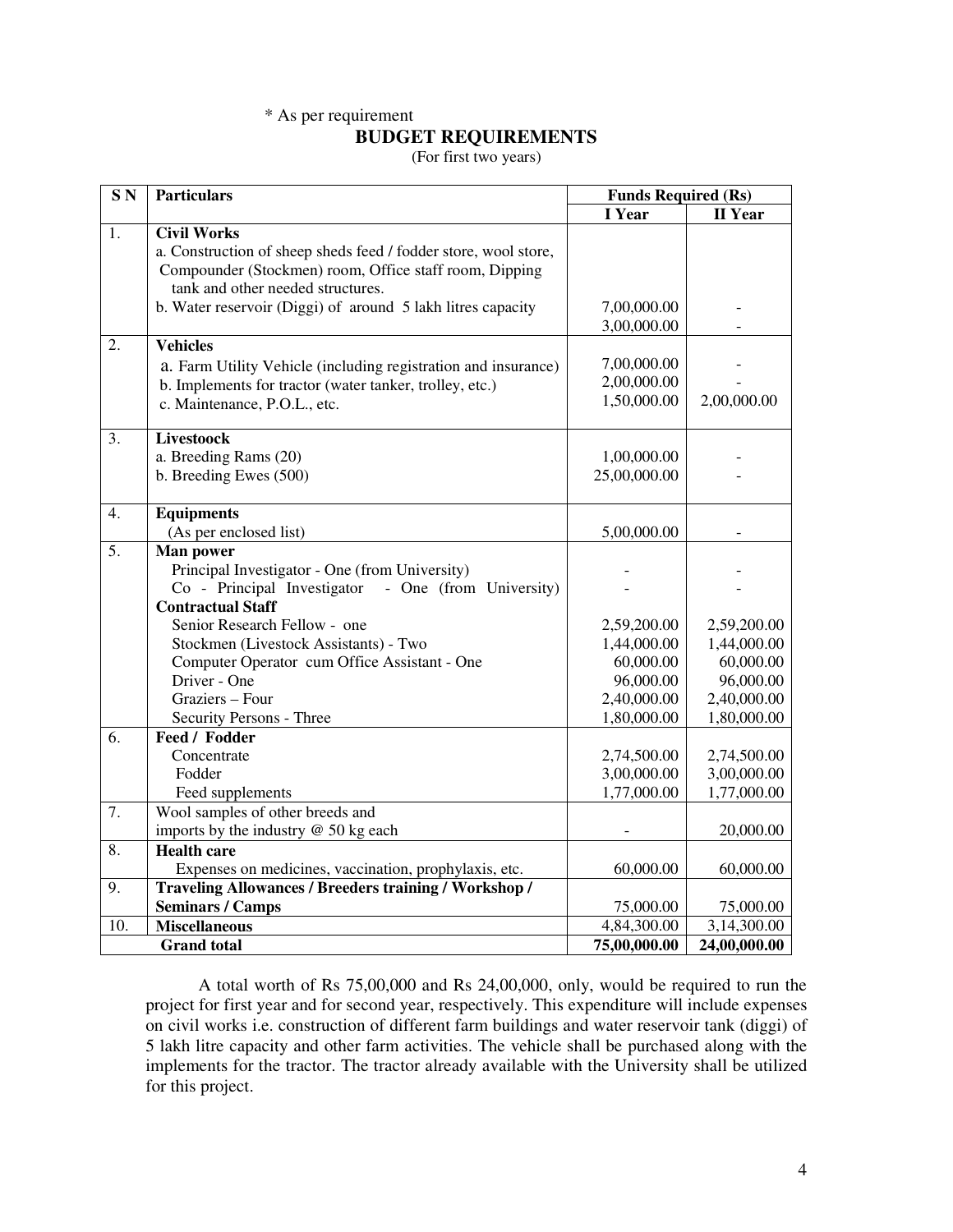## \* As per requirement

#### **BUDGET REQUIREMENTS**

(For first two years)

| SN <sub>N</sub> | <b>Particulars</b>                                              | <b>Funds Required (Rs)</b> |                |
|-----------------|-----------------------------------------------------------------|----------------------------|----------------|
|                 |                                                                 | I Year                     | <b>II</b> Year |
| 1.              | <b>Civil Works</b>                                              |                            |                |
|                 | a. Construction of sheep sheds feed / fodder store, wool store, |                            |                |
|                 | Compounder (Stockmen) room, Office staff room, Dipping          |                            |                |
|                 | tank and other needed structures.                               |                            |                |
|                 | b. Water reservoir (Diggi) of around 5 lakh litres capacity     | 7,00,000.00                |                |
|                 |                                                                 | 3,00,000.00                |                |
| 2.              | <b>Vehicles</b>                                                 |                            |                |
|                 | a. Farm Utility Vehicle (including registration and insurance)  | 7,00,000.00                |                |
|                 | b. Implements for tractor (water tanker, trolley, etc.)         | 2,00,000.00                |                |
|                 | c. Maintenance, P.O.L., etc.                                    | 1,50,000.00                | 2,00,000.00    |
| 3.              | <b>Livestoock</b>                                               |                            |                |
|                 | a. Breeding Rams (20)                                           | 1,00,000.00                |                |
|                 | b. Breeding Ewes (500)                                          | 25,00,000.00               |                |
| 4.              | <b>Equipments</b>                                               |                            |                |
|                 | (As per enclosed list)                                          | 5,00,000.00                |                |
| 5.              | Man power                                                       |                            |                |
|                 | Principal Investigator - One (from University)                  |                            |                |
|                 | Co - Principal Investigator<br>- One (from University)          |                            |                |
|                 | <b>Contractual Staff</b>                                        |                            |                |
|                 | Senior Research Fellow - one                                    | 2,59,200.00                | 2,59,200.00    |
|                 | Stockmen (Livestock Assistants) - Two                           | 1,44,000.00                | 1,44,000.00    |
|                 | Computer Operator cum Office Assistant - One                    | 60,000.00                  | 60,000.00      |
|                 | Driver - One                                                    | 96,000.00                  | 96,000.00      |
|                 | Graziers - Four                                                 | 2,40,000.00                | 2,40,000.00    |
|                 | Security Persons - Three                                        | 1,80,000.00                | 1,80,000.00    |
| 6.              | Feed / Fodder                                                   |                            |                |
|                 | Concentrate                                                     | 2,74,500.00                | 2,74,500.00    |
|                 | Fodder                                                          | 3,00,000.00                | 3,00,000.00    |
|                 | Feed supplements                                                | 1,77,000.00                | 1,77,000.00    |
| 7.              | Wool samples of other breeds and                                |                            |                |
|                 | imports by the industry $@$ 50 kg each                          |                            | 20,000.00      |
| 8.              | <b>Health care</b>                                              |                            |                |
|                 | Expenses on medicines, vaccination, prophylaxis, etc.           | 60,000.00                  | 60,000.00      |
| 9.              | <b>Traveling Allowances / Breeders training / Workshop /</b>    |                            |                |
|                 | <b>Seminars / Camps</b>                                         | 75,000.00                  | 75,000.00      |
| 10.             | <b>Miscellaneous</b>                                            | 4,84,300.00                | 3,14,300.00    |
|                 | <b>Grand</b> total                                              | 75,00,000.00               | 24,00,000.00   |

 A total worth of Rs 75,00,000 and Rs 24,00,000, only, would be required to run the project for first year and for second year, respectively. This expenditure will include expenses on civil works i.e. construction of different farm buildings and water reservoir tank (diggi) of 5 lakh litre capacity and other farm activities. The vehicle shall be purchased along with the implements for the tractor. The tractor already available with the University shall be utilized for this project.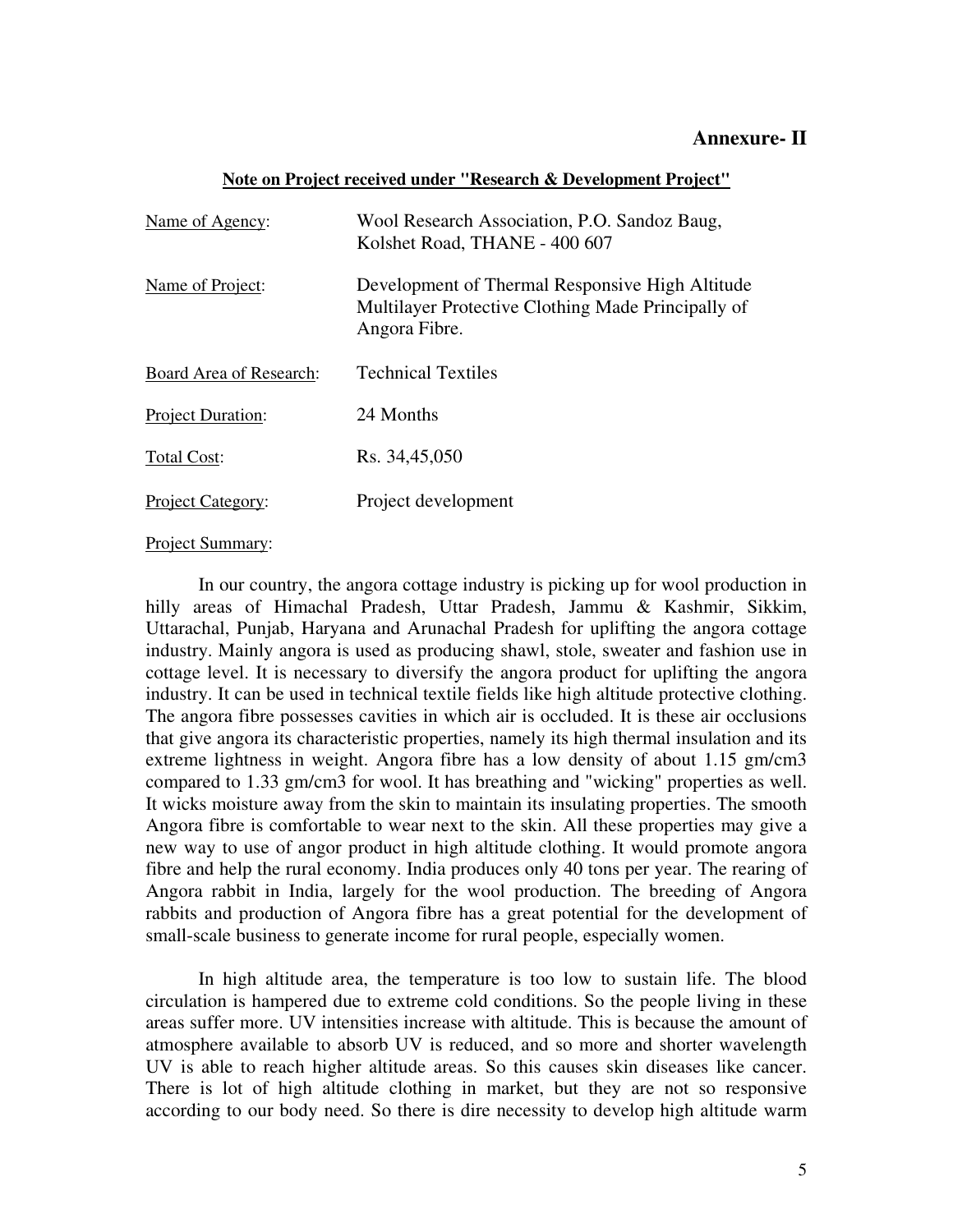## **Note on Project received under "Research & Development Project"**

| Name of Agency:          | Wool Research Association, P.O. Sandoz Baug,<br>Kolshet Road, THANE - 400 607                                          |
|--------------------------|------------------------------------------------------------------------------------------------------------------------|
| Name of Project:         | Development of Thermal Responsive High Altitude<br>Multilayer Protective Clothing Made Principally of<br>Angora Fibre. |
| Board Area of Research:  | <b>Technical Textiles</b>                                                                                              |
| <b>Project Duration:</b> | 24 Months                                                                                                              |
| <b>Total Cost:</b>       | Rs. 34,45,050                                                                                                          |
| Project Category:        | Project development                                                                                                    |

## Project Summary:

In our country, the angora cottage industry is picking up for wool production in hilly areas of Himachal Pradesh, Uttar Pradesh, Jammu & Kashmir, Sikkim, Uttarachal, Punjab, Haryana and Arunachal Pradesh for uplifting the angora cottage industry. Mainly angora is used as producing shawl, stole, sweater and fashion use in cottage level. It is necessary to diversify the angora product for uplifting the angora industry. It can be used in technical textile fields like high altitude protective clothing. The angora fibre possesses cavities in which air is occluded. It is these air occlusions that give angora its characteristic properties, namely its high thermal insulation and its extreme lightness in weight. Angora fibre has a low density of about 1.15 gm/cm3 compared to 1.33 gm/cm3 for wool. It has breathing and "wicking" properties as well. It wicks moisture away from the skin to maintain its insulating properties. The smooth Angora fibre is comfortable to wear next to the skin. All these properties may give a new way to use of angor product in high altitude clothing. It would promote angora fibre and help the rural economy. India produces only 40 tons per year. The rearing of Angora rabbit in India, largely for the wool production. The breeding of Angora rabbits and production of Angora fibre has a great potential for the development of small-scale business to generate income for rural people, especially women.

 In high altitude area, the temperature is too low to sustain life. The blood circulation is hampered due to extreme cold conditions. So the people living in these areas suffer more. UV intensities increase with altitude. This is because the amount of atmosphere available to absorb UV is reduced, and so more and shorter wavelength UV is able to reach higher altitude areas. So this causes skin diseases like cancer. There is lot of high altitude clothing in market, but they are not so responsive according to our body need. So there is dire necessity to develop high altitude warm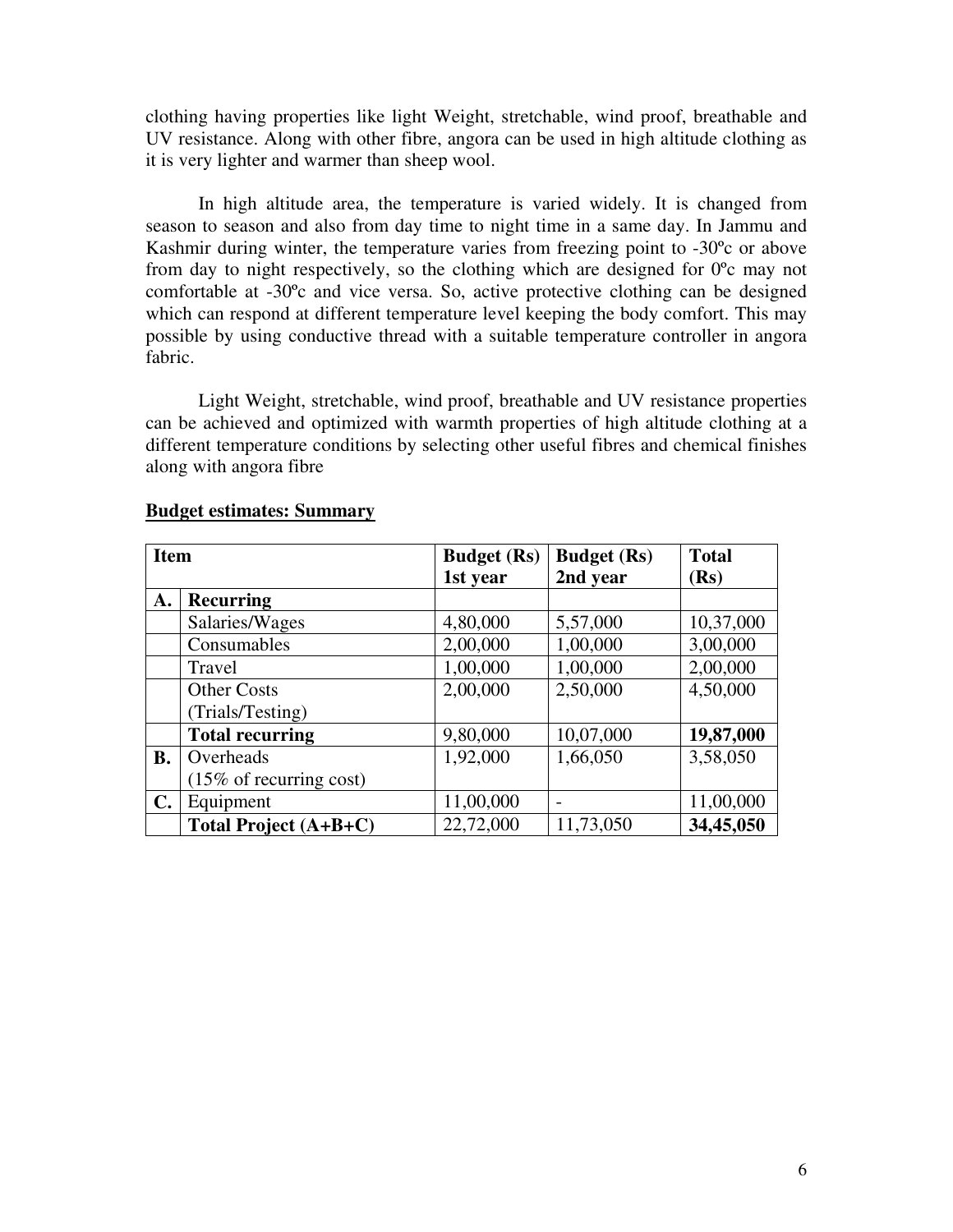clothing having properties like light Weight, stretchable, wind proof, breathable and UV resistance. Along with other fibre, angora can be used in high altitude clothing as it is very lighter and warmer than sheep wool.

 In high altitude area, the temperature is varied widely. It is changed from season to season and also from day time to night time in a same day. In Jammu and Kashmir during winter, the temperature varies from freezing point to -30ºc or above from day to night respectively, so the clothing which are designed for 0ºc may not comfortable at -30ºc and vice versa. So, active protective clothing can be designed which can respond at different temperature level keeping the body comfort. This may possible by using conductive thread with a suitable temperature controller in angora fabric.

 Light Weight, stretchable, wind proof, breathable and UV resistance properties can be achieved and optimized with warmth properties of high altitude clothing at a different temperature conditions by selecting other useful fibres and chemical finishes along with angora fibre

| <b>Item</b>    |                                    | <b>Budget</b> (Rs) | <b>Budget</b> (Rs) | <b>Total</b> |
|----------------|------------------------------------|--------------------|--------------------|--------------|
|                |                                    | 1st year           | 2nd year           | (Rs)         |
| А.             | <b>Recurring</b>                   |                    |                    |              |
|                | Salaries/Wages                     | 4,80,000           | 5,57,000           | 10,37,000    |
|                | Consumables                        | 2,00,000           | 1,00,000           | 3,00,000     |
|                | Travel                             | 1,00,000           | 1,00,000           | 2,00,000     |
|                | <b>Other Costs</b>                 | 2,00,000           | 2,50,000           | 4,50,000     |
|                | (Trials/Testing)                   |                    |                    |              |
|                | <b>Total recurring</b>             | 9,80,000           | 10,07,000          | 19,87,000    |
| <b>B.</b>      | Overheads                          | 1,92,000           | 1,66,050           | 3,58,050     |
|                | $(15\% \text{ of recurring cost})$ |                    |                    |              |
| $\mathbf{C}$ . | Equipment                          | 11,00,000          |                    | 11,00,000    |
|                | Total Project $(A+B+C)$            | 22,72,000          | 11,73,050          | 34,45,050    |

## **Budget estimates: Summary**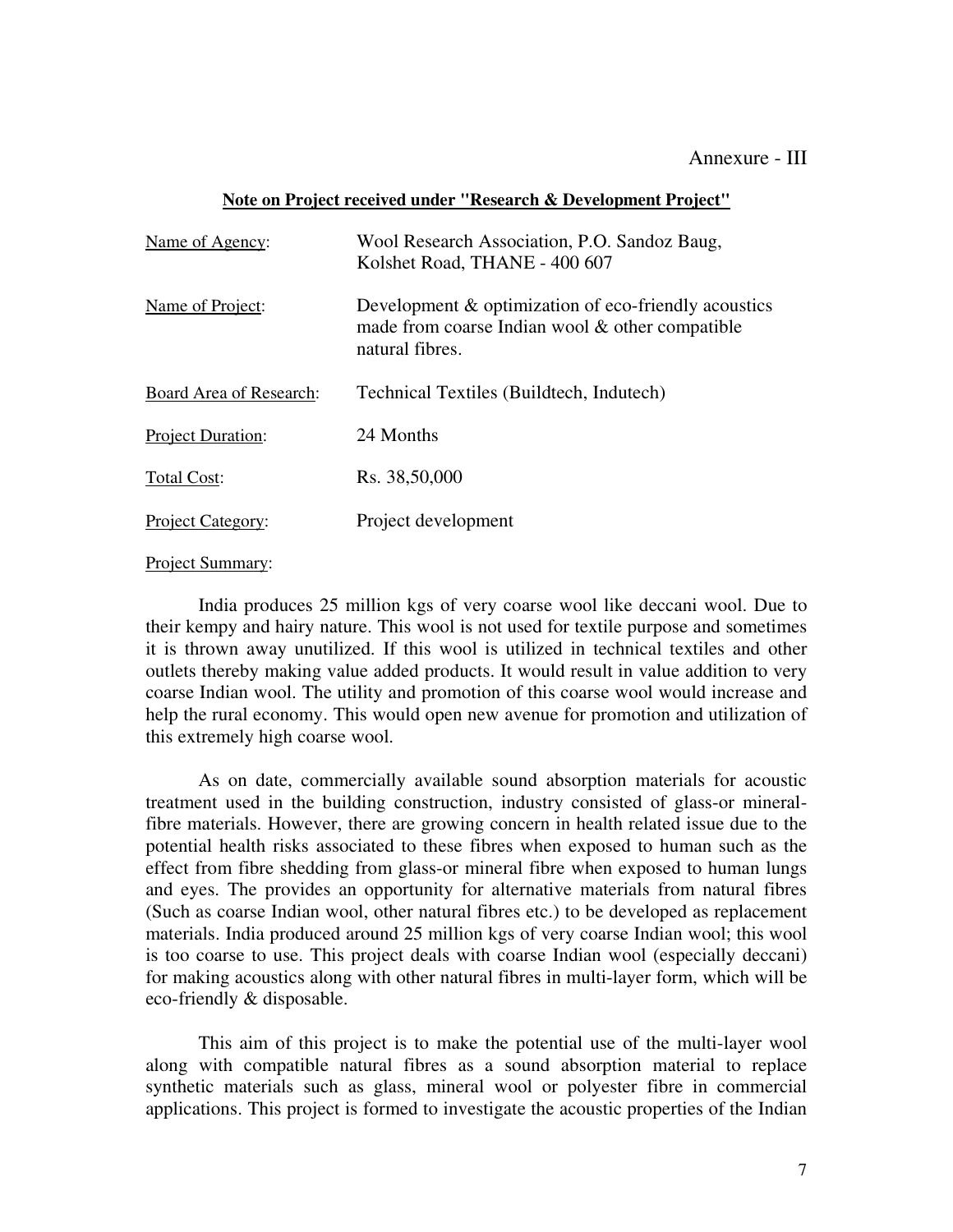## Annexure - III

#### **Note on Project received under "Research & Development Project"**

| Name of Agency:          | Wool Research Association, P.O. Sandoz Baug,<br>Kolshet Road, THANE - 400 607                                              |
|--------------------------|----------------------------------------------------------------------------------------------------------------------------|
| Name of Project:         | Development & optimization of eco-friendly acoustics<br>made from coarse Indian wool & other compatible<br>natural fibres. |
| Board Area of Research:  | Technical Textiles (Buildtech, Indutech)                                                                                   |
| <b>Project Duration:</b> | 24 Months                                                                                                                  |
| Total Cost:              | Rs. 38,50,000                                                                                                              |
| Project Category:        | Project development                                                                                                        |

#### Project Summary:

India produces 25 million kgs of very coarse wool like deccani wool. Due to their kempy and hairy nature. This wool is not used for textile purpose and sometimes it is thrown away unutilized. If this wool is utilized in technical textiles and other outlets thereby making value added products. It would result in value addition to very coarse Indian wool. The utility and promotion of this coarse wool would increase and help the rural economy. This would open new avenue for promotion and utilization of this extremely high coarse wool.

 As on date, commercially available sound absorption materials for acoustic treatment used in the building construction, industry consisted of glass-or mineralfibre materials. However, there are growing concern in health related issue due to the potential health risks associated to these fibres when exposed to human such as the effect from fibre shedding from glass-or mineral fibre when exposed to human lungs and eyes. The provides an opportunity for alternative materials from natural fibres (Such as coarse Indian wool, other natural fibres etc.) to be developed as replacement materials. India produced around 25 million kgs of very coarse Indian wool; this wool is too coarse to use. This project deals with coarse Indian wool (especially deccani) for making acoustics along with other natural fibres in multi-layer form, which will be eco-friendly & disposable.

 This aim of this project is to make the potential use of the multi-layer wool along with compatible natural fibres as a sound absorption material to replace synthetic materials such as glass, mineral wool or polyester fibre in commercial applications. This project is formed to investigate the acoustic properties of the Indian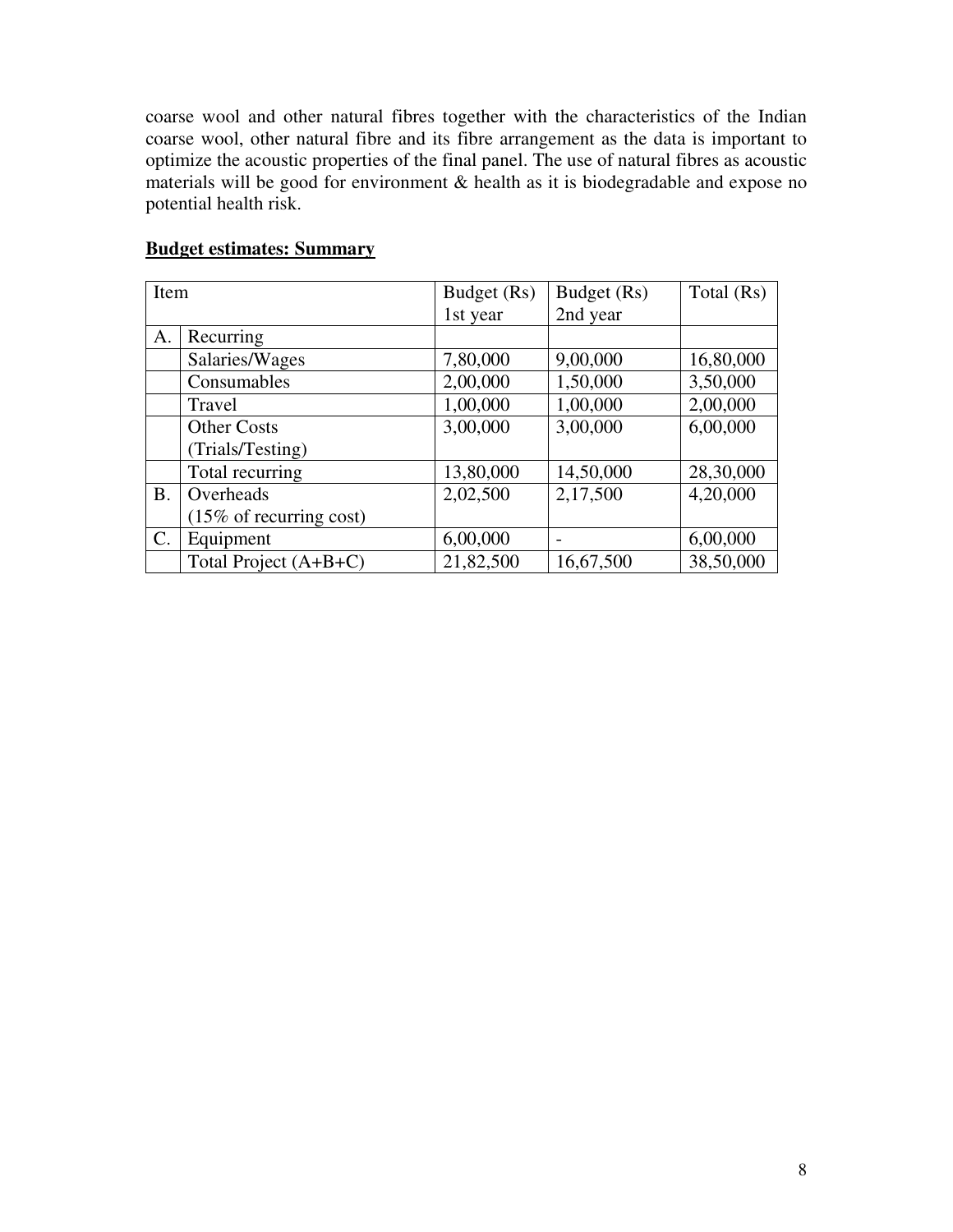coarse wool and other natural fibres together with the characteristics of the Indian coarse wool, other natural fibre and its fibre arrangement as the data is important to optimize the acoustic properties of the final panel. The use of natural fibres as acoustic materials will be good for environment  $\&$  health as it is biodegradable and expose no potential health risk.

| Item           |                                    | Budget (Rs) | Budget (Rs) | Total (Rs) |
|----------------|------------------------------------|-------------|-------------|------------|
|                |                                    | 1st year    | 2nd year    |            |
| А.             | Recurring                          |             |             |            |
|                | Salaries/Wages                     | 7,80,000    | 9,00,000    | 16,80,000  |
|                | Consumables                        | 2,00,000    | 1,50,000    | 3,50,000   |
|                | Travel                             | 1,00,000    | 1,00,000    | 2,00,000   |
|                | <b>Other Costs</b>                 | 3,00,000    | 3,00,000    | 6,00,000   |
|                | (Trials/Testing)                   |             |             |            |
|                | Total recurring                    | 13,80,000   | 14,50,000   | 28,30,000  |
| <b>B.</b>      | Overheads                          | 2,02,500    | 2,17,500    | 4,20,000   |
|                | $(15\% \text{ of recurring cost})$ |             |             |            |
| $\mathsf{C}$ . | Equipment                          | 6,00,000    |             | 6,00,000   |
|                | Total Project (A+B+C)              | 21,82,500   | 16,67,500   | 38,50,000  |

# **Budget estimates: Summary**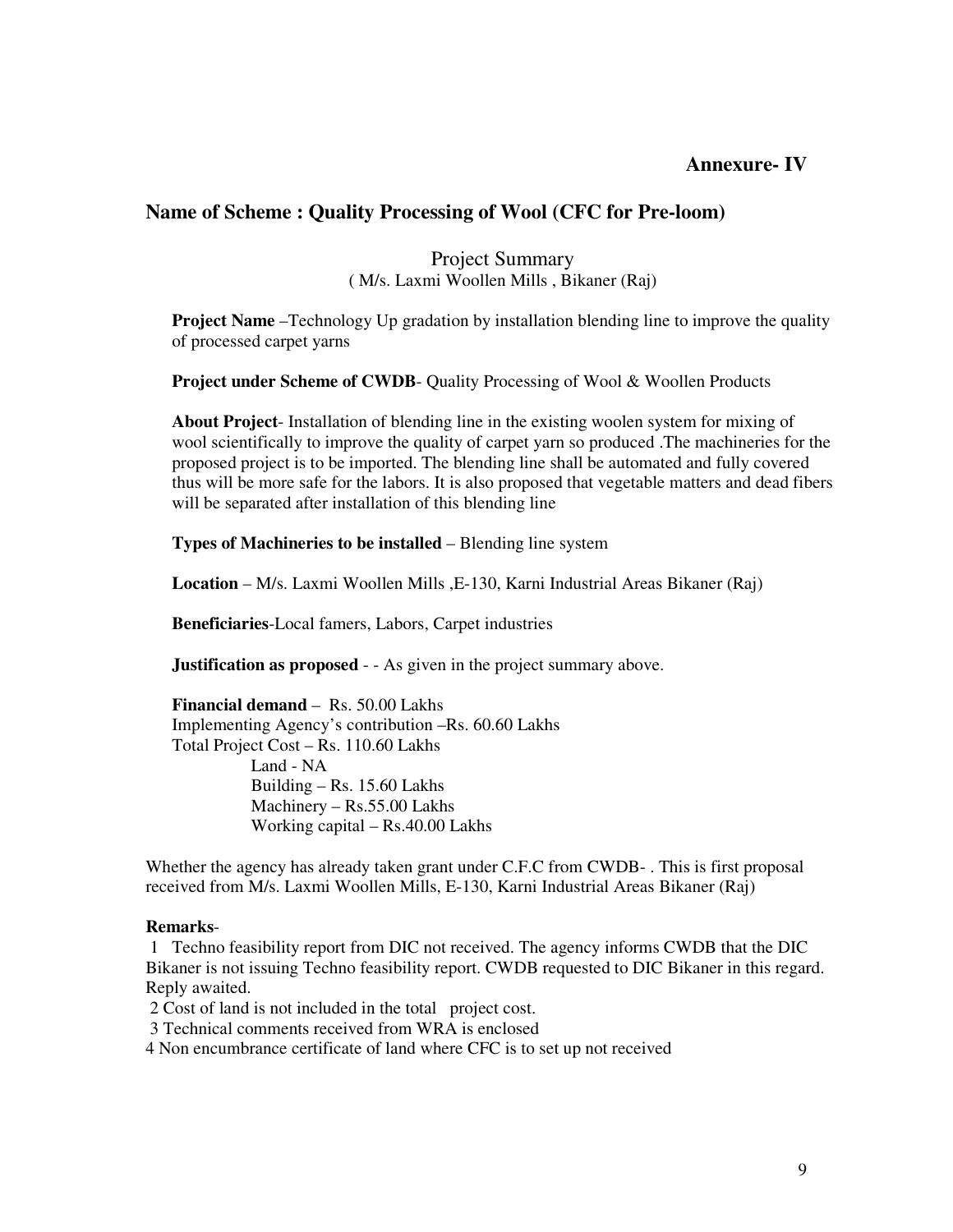## **Annexure- IV**

## **Name of Scheme : Quality Processing of Wool (CFC for Pre-loom)**

#### Project Summary ( M/s. Laxmi Woollen Mills , Bikaner (Raj)

**Project Name** –Technology Up gradation by installation blending line to improve the quality of processed carpet yarns

**Project under Scheme of CWDB-** Quality Processing of Wool & Woollen Products

**About Project**- Installation of blending line in the existing woolen system for mixing of wool scientifically to improve the quality of carpet yarn so produced .The machineries for the proposed project is to be imported. The blending line shall be automated and fully covered thus will be more safe for the labors. It is also proposed that vegetable matters and dead fibers will be separated after installation of this blending line

**Types of Machineries to be installed** – Blending line system

**Location** – M/s. Laxmi Woollen Mills ,E-130, Karni Industrial Areas Bikaner (Raj)

**Beneficiaries**-Local famers, Labors, Carpet industries

**Justification as proposed** - - As given in the project summary above.

**Financial demand** – Rs. 50.00 Lakhs Implementing Agency's contribution –Rs. 60.60 Lakhs Total Project Cost – Rs. 110.60 Lakhs Land - NA Building – Rs. 15.60 Lakhs Machinery – Rs.55.00 Lakhs Working capital – Rs.40.00 Lakhs

Whether the agency has already taken grant under C.F.C from CWDB- . This is first proposal received from M/s. Laxmi Woollen Mills, E-130, Karni Industrial Areas Bikaner (Raj)

#### **Remarks**-

 1 Techno feasibility report from DIC not received. The agency informs CWDB that the DIC Bikaner is not issuing Techno feasibility report. CWDB requested to DIC Bikaner in this regard. Reply awaited.

2 Cost of land is not included in the total project cost.

3 Technical comments received from WRA is enclosed

4 Non encumbrance certificate of land where CFC is to set up not received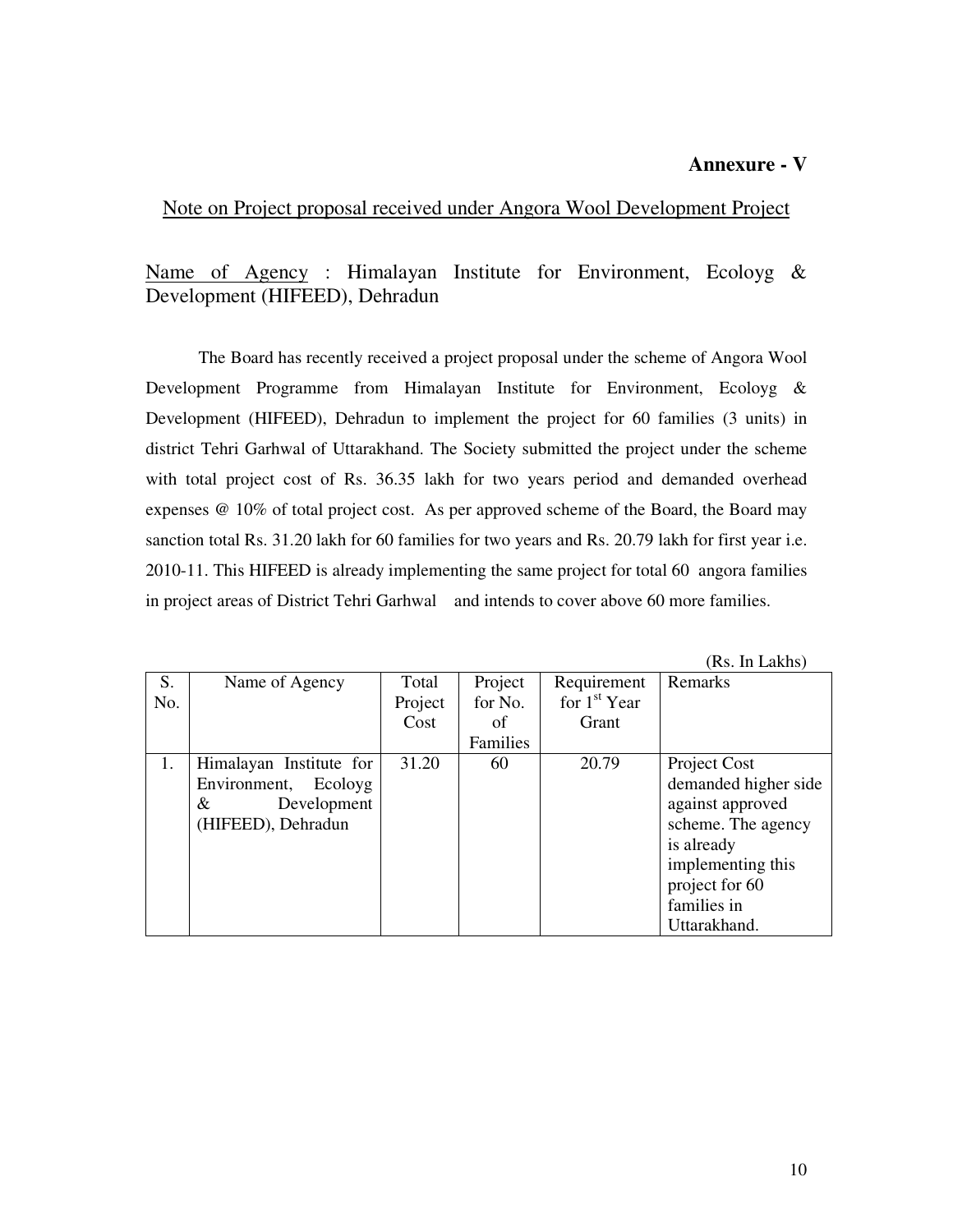## **Annexure - V**

Note on Project proposal received under Angora Wool Development Project

# Name of Agency : Himalayan Institute for Environment, Ecoloyg & Development (HIFEED), Dehradun

 The Board has recently received a project proposal under the scheme of Angora Wool Development Programme from Himalayan Institute for Environment, Ecoloyg & Development (HIFEED), Dehradun to implement the project for 60 families (3 units) in district Tehri Garhwal of Uttarakhand. The Society submitted the project under the scheme with total project cost of Rs. 36.35 lakh for two years period and demanded overhead expenses @ 10% of total project cost. As per approved scheme of the Board, the Board may sanction total Rs. 31.20 lakh for 60 families for two years and Rs. 20.79 lakh for first year i.e. 2010-11. This HIFEED is already implementing the same project for total 60 angora families in project areas of District Tehri Garhwal and intends to cover above 60 more families.

|     |                         |         |          |                | ,100, 111 LARIO,     |
|-----|-------------------------|---------|----------|----------------|----------------------|
| S.  | Name of Agency          | Total   | Project  | Requirement    | Remarks              |
| No. |                         | Project | for No.  | for $1st$ Year |                      |
|     |                         | Cost    | of       | Grant          |                      |
|     |                         |         | Families |                |                      |
| 1.  | Himalayan Institute for | 31.20   | 60       | 20.79          | Project Cost         |
|     | Environment, Ecoloyg    |         |          |                | demanded higher side |
|     | Development<br>&        |         |          |                | against approved     |
|     | (HIFEED), Dehradun      |         |          |                | scheme. The agency   |
|     |                         |         |          |                | is already           |
|     |                         |         |          |                | implementing this    |
|     |                         |         |          |                | project for 60       |
|     |                         |         |          |                | families in          |
|     |                         |         |          |                | Uttarakhand.         |

(Rs. In Lakhs)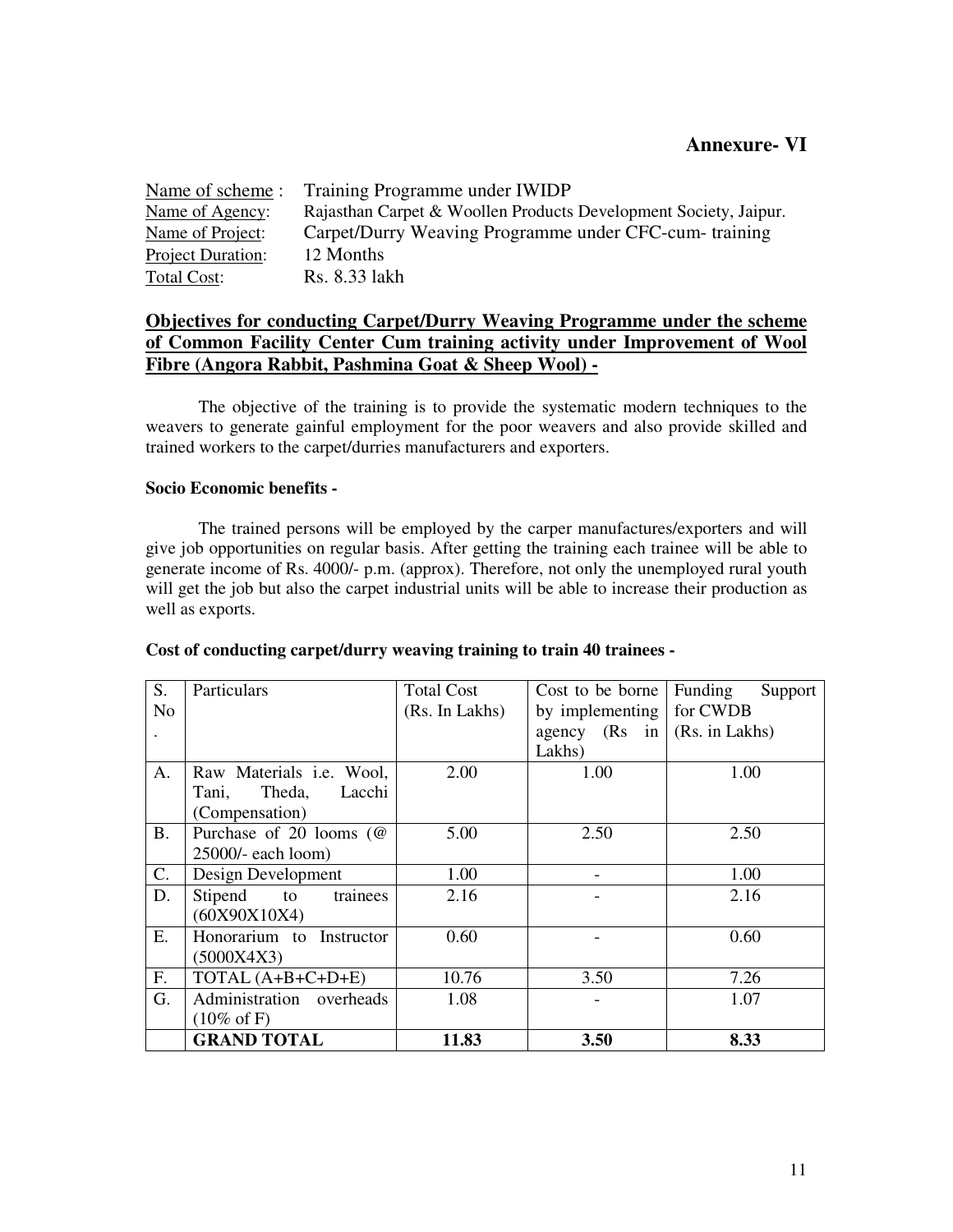| Name of scheme:   | Training Programme under IWIDP                                   |
|-------------------|------------------------------------------------------------------|
| Name of Agency:   | Rajasthan Carpet & Woollen Products Development Society, Jaipur. |
| Name of Project:  | Carpet/Durry Weaving Programme under CFC-cum- training           |
| Project Duration: | 12 Months                                                        |
| Total Cost:       | Rs. 8.33 lakh                                                    |

## **Objectives for conducting Carpet/Durry Weaving Programme under the scheme of Common Facility Center Cum training activity under Improvement of Wool Fibre (Angora Rabbit, Pashmina Goat & Sheep Wool) -**

 The objective of the training is to provide the systematic modern techniques to the weavers to generate gainful employment for the poor weavers and also provide skilled and trained workers to the carpet/durries manufacturers and exporters.

## **Socio Economic benefits -**

 The trained persons will be employed by the carper manufactures/exporters and will give job opportunities on regular basis. After getting the training each trainee will be able to generate income of Rs. 4000/- p.m. (approx). Therefore, not only the unemployed rural youth will get the job but also the carpet industrial units will be able to increase their production as well as exports.

| S.             | Particulars                     | <b>Total Cost</b> | Cost to be borne                                  | Funding<br>Support |
|----------------|---------------------------------|-------------------|---------------------------------------------------|--------------------|
| N <sub>o</sub> |                                 | (Rs. In Lakhs)    | by implementing                                   | for CWDB           |
|                |                                 |                   | agency $(Rs \text{ in } (Rs. \text{ in } Lakhs))$ |                    |
|                |                                 |                   | Lakhs)                                            |                    |
| A.             | Raw Materials <i>i.e.</i> Wool, | 2.00              | 1.00                                              | 1.00               |
|                | Lacchi<br>Theda,<br>Tani,       |                   |                                                   |                    |
|                | (Compensation)                  |                   |                                                   |                    |
| <b>B.</b>      | Purchase of 20 looms $(\omega)$ | 5.00              | 2.50                                              | 2.50               |
|                | 25000/- each loom)              |                   |                                                   |                    |
| C.             | Design Development              | 1.00              |                                                   | 1.00               |
| D.             | trainees<br>Stipend<br>to       | 2.16              |                                                   | 2.16               |
|                | (60X90X10X4)                    |                   |                                                   |                    |
| Ε.             | Honorarium to Instructor        | 0.60              |                                                   | 0.60               |
|                | (5000X4X3)                      |                   |                                                   |                    |
| F.             | TOTAL (A+B+C+D+E)               | 10.76             | 3.50                                              | 7.26               |
| G.             | Administration overheads        | 1.08              |                                                   | 1.07               |
|                | $(10\% \text{ of F})$           |                   |                                                   |                    |
|                | <b>GRAND TOTAL</b>              | 11.83             | 3.50                                              | 8.33               |

#### **Cost of conducting carpet/durry weaving training to train 40 trainees -**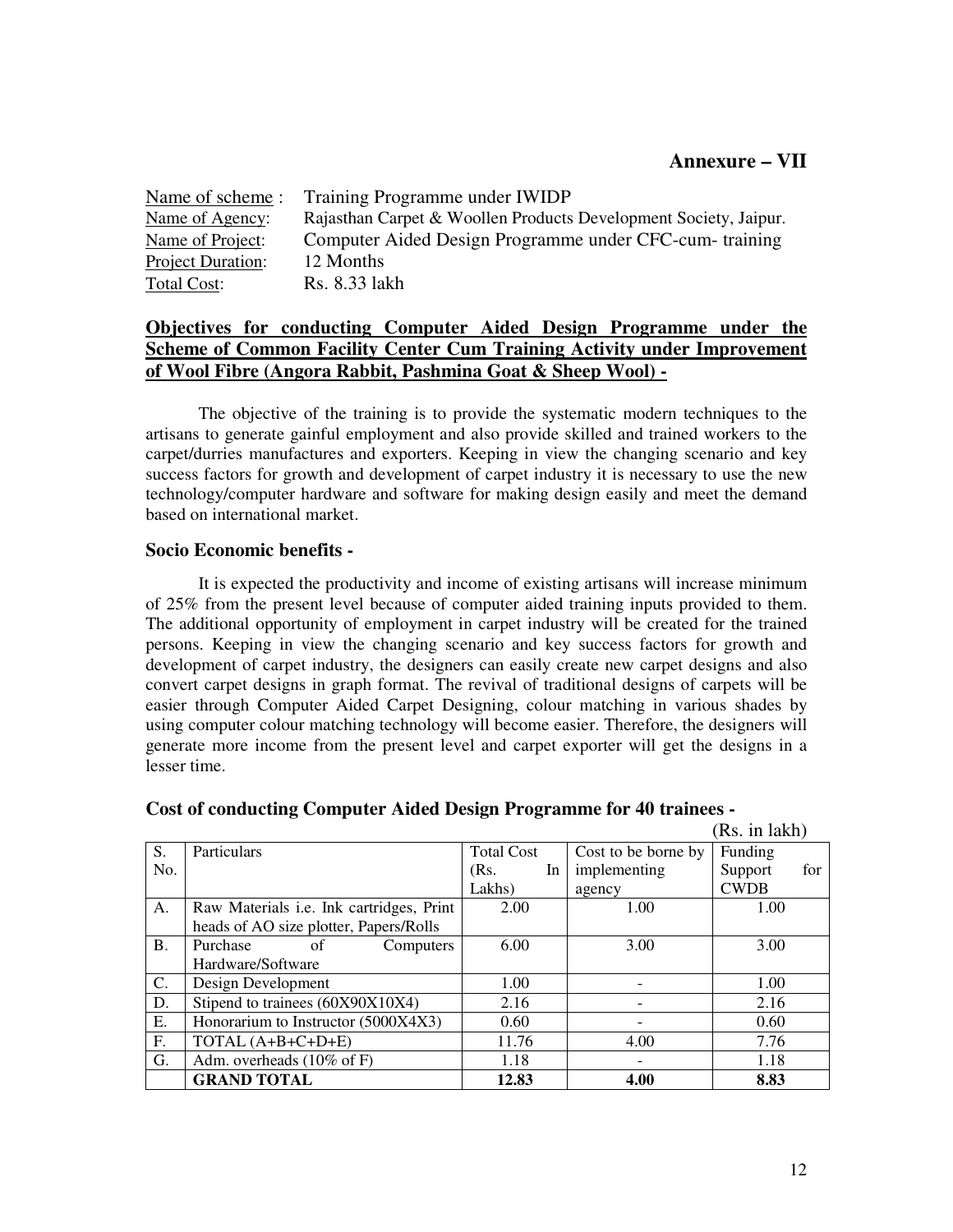| Name of scheme :         | Training Programme under IWIDP                                   |
|--------------------------|------------------------------------------------------------------|
| Name of Agency:          | Rajasthan Carpet & Woollen Products Development Society, Jaipur. |
| Name of Project:         | Computer Aided Design Programme under CFC-cum-training           |
| <b>Project Duration:</b> | 12 Months                                                        |
| Total Cost:              | Rs. 8.33 lakh                                                    |

## **Objectives for conducting Computer Aided Design Programme under the Scheme of Common Facility Center Cum Training Activity under Improvement of Wool Fibre (Angora Rabbit, Pashmina Goat & Sheep Wool) -**

 The objective of the training is to provide the systematic modern techniques to the artisans to generate gainful employment and also provide skilled and trained workers to the carpet/durries manufactures and exporters. Keeping in view the changing scenario and key success factors for growth and development of carpet industry it is necessary to use the new technology/computer hardware and software for making design easily and meet the demand based on international market.

## **Socio Economic benefits -**

 It is expected the productivity and income of existing artisans will increase minimum of 25% from the present level because of computer aided training inputs provided to them. The additional opportunity of employment in carpet industry will be created for the trained persons. Keeping in view the changing scenario and key success factors for growth and development of carpet industry, the designers can easily create new carpet designs and also convert carpet designs in graph format. The revival of traditional designs of carpets will be easier through Computer Aided Carpet Designing, colour matching in various shades by using computer colour matching technology will become easier. Therefore, the designers will generate more income from the present level and carpet exporter will get the designs in a lesser time.

|                |                                                 |                   |                     | (Rs. in lakh)  |
|----------------|-------------------------------------------------|-------------------|---------------------|----------------|
| S.             | Particulars                                     | <b>Total Cost</b> | Cost to be borne by | Funding        |
| No.            |                                                 | (Rs.<br>In        | implementing        | Support<br>for |
|                |                                                 | Lakhs)            | agency              | <b>CWDB</b>    |
| A.             | Raw Materials <i>i.e.</i> Ink cartridges, Print | 2.00              | 1.00                | 1.00           |
|                | heads of AO size plotter, Papers/Rolls          |                   |                     |                |
| <b>B.</b>      | Purchase<br>Computers<br>οf                     | 6.00              | 3.00                | 3.00           |
|                | Hardware/Software                               |                   |                     |                |
| $\mathbf{C}$ . | Design Development                              | 1.00              |                     | 1.00           |
| D.             | Stipend to trainees (60X90X10X4)                | 2.16              |                     | 2.16           |
| E.             | Honorarium to Instructor (5000X4X3)             | 0.60              |                     | 0.60           |
| F.             | TOTAL (A+B+C+D+E)                               | 11.76             | 4.00                | 7.76           |
| G.             | Adm. overheads $(10\% \text{ of F})$            | 1.18              |                     | 1.18           |
|                | <b>GRAND TOTAL</b>                              | 12.83             | 4.00                | 8.83           |

## **Cost of conducting Computer Aided Design Programme for 40 trainees -**